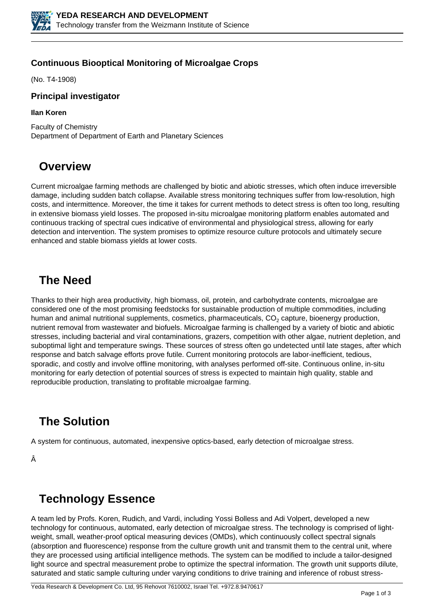

## **Continuous Biooptical Monitoring of Microalgae Crops**

(No. T4-1908)

### **Principal investigator**

### **Ilan Koren**

Faculty of Chemistry Department of Department of Earth and Planetary Sciences

## **Overview**

Current microalgae farming methods are challenged by biotic and abiotic stresses, which often induce irreversible damage, including sudden batch collapse. Available stress monitoring techniques suffer from low-resolution, high costs, and intermittence. Moreover, the time it takes for current methods to detect stress is often too long, resulting in extensive biomass yield losses. The proposed in-situ microalgae monitoring platform enables automated and continuous tracking of spectral cues indicative of environmental and physiological stress, allowing for early detection and intervention. The system promises to optimize resource culture protocols and ultimately secure enhanced and stable biomass yields at lower costs.

# **The Need**

Thanks to their high area productivity, high biomass, oil, protein, and carbohydrate contents, microalgae are considered one of the most promising feedstocks for sustainable production of multiple commodities, including human and animal nutritional supplements, cosmetics, pharmaceuticals,  $\mathsf{CO}_2$  capture, bioenergy production, nutrient removal from wastewater and biofuels. Microalgae farming is challenged by a variety of biotic and abiotic stresses, including bacterial and viral contaminations, grazers, competition with other algae, nutrient depletion, and suboptimal light and temperature swings. These sources of stress often go undetected until late stages, after which response and batch salvage efforts prove futile. Current monitoring protocols are labor-inefficient, tedious, sporadic, and costly and involve offline monitoring, with analyses performed off-site. Continuous online, in-situ monitoring for early detection of potential sources of stress is expected to maintain high quality, stable and reproducible production, translating to profitable microalgae farming.

# **The Solution**

A system for continuous, automated, inexpensive optics-based, early detection of microalgae stress.

Â

# **Technology Essence**

A team led by Profs. Koren, Rudich, and Vardi, including Yossi Bolless and Adi Volpert, developed a new technology for continuous, automated, early detection of microalgae stress. The technology is comprised of lightweight, small, weather-proof optical measuring devices (OMDs), which continuously collect spectral signals (absorption and fluorescence) response from the culture growth unit and transmit them to the central unit, where they are processed using artificial intelligence methods. The system can be modified to include a tailor-designed light source and spectral measurement probe to optimize the spectral information. The growth unit supports dilute, saturated and static sample culturing under varying conditions to drive training and inference of robust stress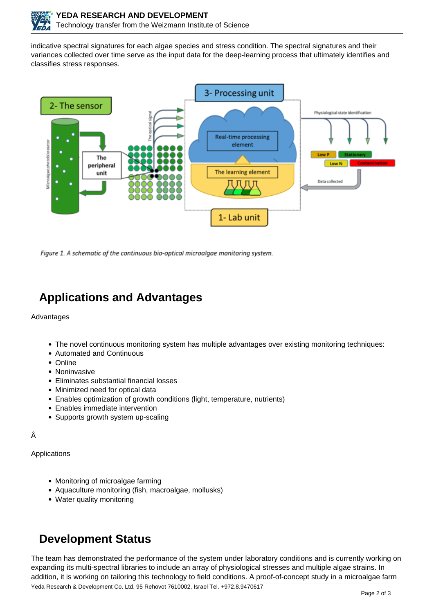indicative spectral signatures for each algae species and stress condition. The spectral signatures and their variances collected over time serve as the input data for the deep-learning process that ultimately identifies and classifies stress responses.



Figure 1. A schematic of the continuous bio-optical microalgae monitoring system.

# **Applications and Advantages**

#### Advantages

- The novel continuous monitoring system has multiple advantages over existing monitoring techniques:
- Automated and Continuous
- Online
- Noninvasive
- Eliminates substantial financial losses
- Minimized need for optical data
- Enables optimization of growth conditions (light, temperature, nutrients)
- Enables immediate intervention
- Supports growth system up-scaling

#### Â

Applications

- Monitoring of microalgae farming
- Aquaculture monitoring (fish, macroalgae, mollusks)
- Water quality monitoring

# **Development Status**

The team has demonstrated the performance of the system under laboratory conditions and is currently working on expanding its multi-spectral libraries to include an array of physiological stresses and multiple algae strains. In addition, it is working on tailoring this technology to field conditions. A proof-of-concept study in a microalgae farm